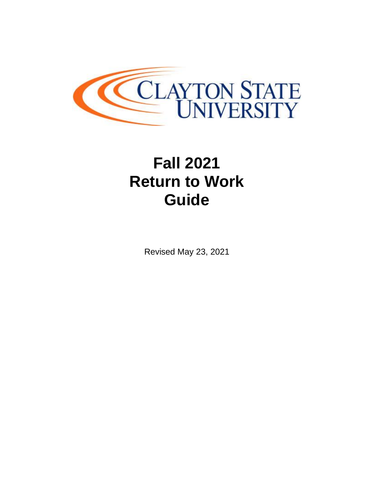

# **Fall 2021 Return to Work Guide**

Revised May 23, 2021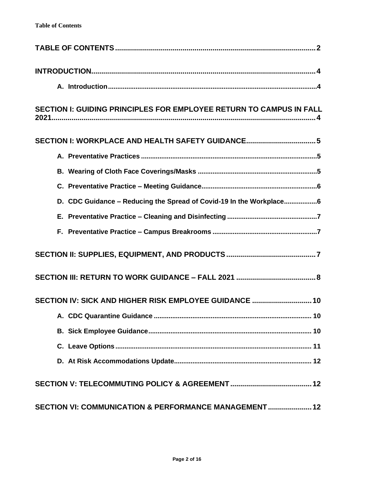<span id="page-1-0"></span>

| SECTION I: GUIDING PRINCIPLES FOR EMPLOYEE RETURN TO CAMPUS IN FALL |  |  |  |
|---------------------------------------------------------------------|--|--|--|
| SECTION I: WORKPLACE AND HEALTH SAFETY GUIDANCE 5                   |  |  |  |
|                                                                     |  |  |  |
|                                                                     |  |  |  |
|                                                                     |  |  |  |
| D. CDC Guidance - Reducing the Spread of Covid-19 In the Workplace6 |  |  |  |
|                                                                     |  |  |  |
|                                                                     |  |  |  |
|                                                                     |  |  |  |
|                                                                     |  |  |  |
| SECTION IV: SICK AND HIGHER RISK EMPLOYEE GUIDANCE  10              |  |  |  |
| 10 <sup>°</sup>                                                     |  |  |  |
|                                                                     |  |  |  |
|                                                                     |  |  |  |
|                                                                     |  |  |  |
|                                                                     |  |  |  |
| SECTION VI: COMMUNICATION & PERFORMANCE MANAGEMENT 12               |  |  |  |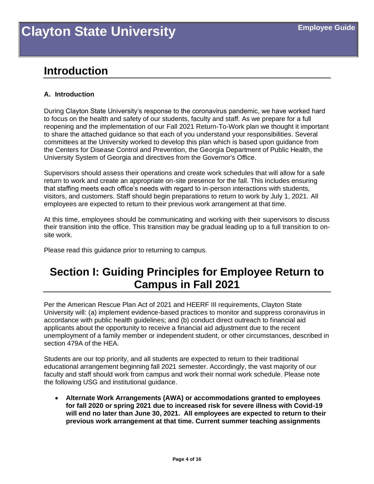### <span id="page-3-0"></span>**Introduction**

### <span id="page-3-1"></span>**A. Introduction**

During Clayton State University's response to the coronavirus pandemic, we have worked hard to focus on the health and safety of our students, faculty and staff. As we prepare for a full reopening and the implementation of our Fall 2021 Return-To-Work plan we thought it important to share the attached guidance so that each of you understand your responsibilities. Several committees at the University worked to develop this plan which is based upon guidance from the Centers for Disease Control and Prevention, the Georgia Department of Public Health, the University System of Georgia and directives from the Governor's Office.

Supervisors should assess their operations and create work schedules that will allow for a safe return to work and create an appropriate on-site presence for the fall. This includes ensuring that staffing meets each office's needs with regard to in-person interactions with students, visitors, and customers. Staff should begin preparations to return to work by July 1, 2021. All employees are expected to return to their previous work arrangement at that time.

At this time, employees should be communicating and working with their supervisors to discuss their transition into the office. This transition may be gradual leading up to a full transition to onsite work.

Please read this guidance prior to returning to campus.

### <span id="page-3-2"></span>**Section I: Guiding Principles for Employee Return to Campus in Fall 2021**

Per the American Rescue Plan Act of 2021 and HEERF III requirements, Clayton State University will: (a) implement evidence-based practices to monitor and suppress coronavirus in accordance with public health guidelines; and (b) conduct direct outreach to financial aid applicants about the opportunity to receive a financial aid adjustment due to the recent unemployment of a family member or independent student, or other circumstances, described in section 479A of the HEA.

Students are our top priority, and all students are expected to return to their traditional educational arrangement beginning fall 2021 semester. Accordingly, the vast majority of our faculty and staff should work from campus and work their normal work schedule. Please note the following USG and institutional guidance.

• **Alternate Work Arrangements (AWA) or accommodations granted to employees for fall 2020 or spring 2021 due to increased risk for severe illness with Covid-19 will end no later than June 30, 2021. All employees are expected to return to their previous work arrangement at that time. Current summer teaching assignments**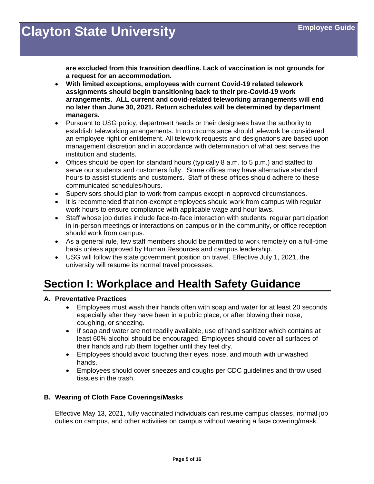**are excluded from this transition deadline. Lack of vaccination is not grounds for a request for an accommodation.**

- **With limited exceptions, employees with current Covid-19 related telework assignments should begin transitioning back to their pre-Covid-19 work arrangements. ALL current and covid-related teleworking arrangements will end no later than June 30, 2021. Return schedules will be determined by department managers.**
- Pursuant to USG policy, department heads or their designees have the authority to establish teleworking arrangements. In no circumstance should telework be considered an employee right or entitlement. All telework requests and designations are based upon management discretion and in accordance with determination of what best serves the institution and students.
- Offices should be open for standard hours (typically 8 a.m. to 5 p.m.) and staffed to serve our students and customers fully. Some offices may have alternative standard hours to assist students and customers. Staff of these offices should adhere to these communicated schedules/hours.
- Supervisors should plan to work from campus except in approved circumstances.
- It is recommended that non-exempt employees should work from campus with regular work hours to ensure compliance with applicable wage and hour laws.
- Staff whose job duties include face-to-face interaction with students, regular participation in in-person meetings or interactions on campus or in the community, or office reception should work from campus.
- As a general rule, few staff members should be permitted to work remotely on a full-time basis unless approved by Human Resources and campus leadership.
- USG will follow the state government position on travel. Effective July 1, 2021, the university will resume its normal travel processes.

### <span id="page-4-0"></span>**Section I: Workplace and Health Safety Guidance**

### <span id="page-4-1"></span>**A. Preventative Practices**

- Employees must wash their hands often with soap and water for at least 20 seconds especially after they have been in a public place, or after blowing their nose, coughing, or sneezing.
- If soap and water are not readily available, use of hand sanitizer which contains at least 60% alcohol should be encouraged. Employees should cover all surfaces of their hands and rub them together until they feel dry.
- Employees should avoid touching their eyes, nose, and mouth with unwashed hands.
- Employees should cover sneezes and coughs per CDC guidelines and throw used tissues in the trash.

### <span id="page-4-2"></span>**B. Wearing of Cloth Face Coverings/Masks**

Effective May 13, 2021, fully vaccinated individuals can resume campus classes, normal job duties on campus, and other activities on campus without wearing a face covering/mask.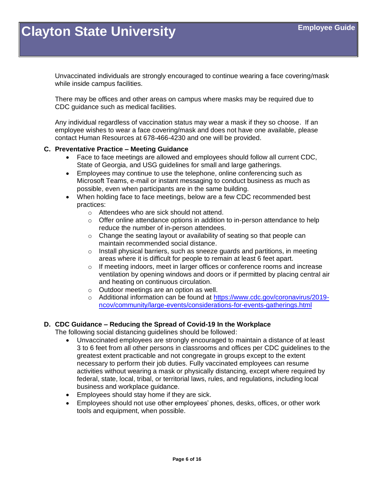Unvaccinated individuals are strongly encouraged to continue wearing a face covering/mask while inside campus facilities.

There may be offices and other areas on campus where masks may be required due to CDC guidance such as medical facilities.

Any individual regardless of vaccination status may wear a mask if they so choose. If an employee wishes to wear a face covering/mask and does not have one available, please contact Human Resources at 678-466-4230 and one will be provided.

### <span id="page-5-0"></span>**C. Preventative Practice – Meeting Guidance**

- Face to face meetings are allowed and employees should follow all current CDC, State of Georgia, and USG guidelines for small and large gatherings.
- Employees may continue to use the telephone, online conferencing such as Microsoft Teams, e-mail or instant messaging to conduct business as much as possible, even when participants are in the same building.
- When holding face to face meetings, below are a few CDC recommended best practices:
	- o Attendees who are sick should not attend.
	- $\circ$  Offer online attendance options in addition to in-person attendance to help reduce the number of in-person attendees.
	- o Change the seating layout or availability of seating so that people can maintain recommended social distance.
	- $\circ$  Install physical barriers, such as sneeze guards and partitions, in meeting areas where it is difficult for people to remain at least 6 feet apart.
	- $\circ$  If meeting indoors, meet in larger offices or conference rooms and increase ventilation by opening windows and doors or if permitted by placing central air and heating on continuous circulation.
	- o Outdoor meetings are an option as well.
	- o Additional information can be found at [https://www.cdc.gov/coronavirus/2019](https://www.cdc.gov/coronavirus/2019-ncov/community/large-events/considerations-for-events-gatherings.html) [ncov/community/large-events/considerations-for-events-gatherings.html](https://www.cdc.gov/coronavirus/2019-ncov/community/large-events/considerations-for-events-gatherings.html)

### <span id="page-5-1"></span>**D. CDC Guidance – Reducing the Spread of Covid-19 In the Workplace**

The following social distancing guidelines should be followed:

- Unvaccinated employees are strongly encouraged to maintain a distance of at least 3 to 6 feet from all other persons in classrooms and offices per CDC guidelines to the greatest extent practicable and not congregate in groups except to the extent necessary to perform their job duties. Fully vaccinated employees can resume activities without wearing a mask or physically distancing, except where required by federal, state, local, tribal, or territorial laws, rules, and regulations, including local business and workplace guidance.
- Employees should stay home if they are sick.
- Employees should not use other employees' phones, desks, offices, or other work tools and equipment, when possible.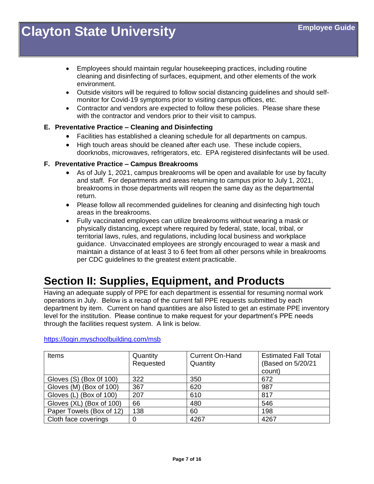- Employees should maintain regular housekeeping practices, including routine cleaning and disinfecting of surfaces, equipment, and other elements of the work environment.
- Outside visitors will be required to follow social distancing guidelines and should selfmonitor for Covid-19 symptoms prior to visiting campus offices, etc.
- Contractor and vendors are expected to follow these policies. Please share these with the contractor and vendors prior to their visit to campus.

### <span id="page-6-0"></span>**E. Preventative Practice – Cleaning and Disinfecting**

- Facilities has established a cleaning schedule for all departments on campus.
- High touch areas should be cleaned after each use. These include copiers, doorknobs, microwaves, refrigerators, etc. EPA registered disinfectants will be used.

### <span id="page-6-1"></span>**F. Preventative Practice – Campus Breakrooms**

- As of July 1, 2021, campus breakrooms will be open and available for use by faculty and staff. For departments and areas returning to campus prior to July 1, 2021, breakrooms in those departments will reopen the same day as the departmental return.
- Please follow all recommended quidelines for cleaning and disinfecting high touch areas in the breakrooms.
- Fully vaccinated employees can utilize breakrooms without wearing a mask or physically distancing, except where required by federal, state, local, tribal, or territorial laws, rules, and regulations, including local business and workplace guidance. Unvaccinated employees are strongly encouraged to wear a mask and maintain a distance of at least 3 to 6 feet from all other persons while in breakrooms per CDC guidelines to the greatest extent practicable.

### <span id="page-6-2"></span>**Section II: Supplies, Equipment, and Products**

Having an adequate supply of PPE for each department is essential for resuming normal work operations in July. Below is a recap of the current fall PPE requests submitted by each department by item. Current on hand quantities are also listed to get an estimate PPE inventory level for the institution. Please continue to make request for your department's PPE needs through the facilities request system. A link is below.

<https://login.myschoolbuilding.com/msb>

| Items                    | Quantity  | <b>Current On-Hand</b> | <b>Estimated Fall Total</b> |
|--------------------------|-----------|------------------------|-----------------------------|
|                          | Requested | Quantity               | (Based on 5/20/21           |
|                          |           |                        | count)                      |
| Gloves (S) (Box 0f 100)  | 322       | 350                    | 672                         |
| Gloves (M) (Box of 100)  | 367       | 620                    | 987                         |
| Gloves (L) (Box of 100)  | 207       | 610                    | 817                         |
| Gloves (XL) (Box of 100) | 66        | 480                    | 546                         |
| Paper Towels (Box of 12) | 138       | 60                     | 198                         |
| Cloth face coverings     |           | 4267                   | 4267                        |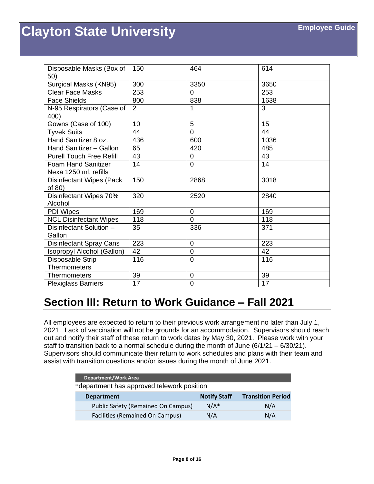| Disposable Masks (Box of<br>50) | 150 | 464            | 614  |
|---------------------------------|-----|----------------|------|
| Surgical Masks (KN95)           | 300 | 3350           | 3650 |
| <b>Clear Face Masks</b>         | 253 | $\Omega$       | 253  |
| <b>Face Shields</b>             | 800 | 838            | 1638 |
| N-95 Respirators (Case of       | 2   | 1              | 3    |
| 400)                            |     |                |      |
| Gowns (Case of 100)             | 10  | 5              | 15   |
| <b>Tyvek Suits</b>              | 44  | 0              | 44   |
| Hand Sanitizer 8 oz.            | 436 | 600            | 1036 |
| Hand Sanitizer - Gallon         | 65  | 420            | 485  |
| <b>Purell Touch Free Refill</b> | 43  | $\overline{0}$ | 43   |
| <b>Foam Hand Sanitizer</b>      | 14  | $\Omega$       | 14   |
| Nexa 1250 ml. refills           |     |                |      |
| <b>Disinfectant Wipes (Pack</b> | 150 | 2868           | 3018 |
| of 80)                          |     |                |      |
| Disinfectant Wipes 70%          | 320 | 2520           | 2840 |
| Alcohol                         |     |                |      |
| PDI Wipes                       | 169 | $\mathbf 0$    | 169  |
| <b>NCL Disinfectant Wipes</b>   | 118 | $\overline{0}$ | 118  |
| Disinfectant Solution -         | 35  | 336            | 371  |
| Gallon                          |     |                |      |
| <b>Disinfectant Spray Cans</b>  | 223 | $\overline{0}$ | 223  |
| Isopropyl Alcohol (Gallon)      | 42  | $\overline{0}$ | 42   |
| Disposable Strip                | 116 | $\overline{0}$ | 116  |
| <b>Thermometers</b>             |     |                |      |
| Thermometers                    | 39  | 0              | 39   |
| <b>Plexiglass Barriers</b>      | 17  | $\overline{0}$ | 17   |

### <span id="page-7-0"></span>**Section III: Return to Work Guidance – Fall 2021**

All employees are expected to return to their previous work arrangement no later than July 1, 2021. Lack of vaccination will not be grounds for an accommodation. Supervisors should reach out and notify their staff of these return to work dates by May 30, 2021. Please work with your staff to transition back to a normal schedule during the month of June  $(6/1/21 - 6/30/21)$ . Supervisors should communicate their return to work schedules and plans with their team and assist with transition questions and/or issues during the month of June 2021.

| <b>Department/Work Area</b>                |                     |                          |  |
|--------------------------------------------|---------------------|--------------------------|--|
| *department has approved telework position |                     |                          |  |
| <b>Department</b>                          | <b>Notify Staff</b> | <b>Transition Period</b> |  |
| <b>Public Safety (Remained On Campus)</b>  | $N/A^*$             | N/A                      |  |
| <b>Facilities (Remained On Campus)</b>     | N/A                 | N/A                      |  |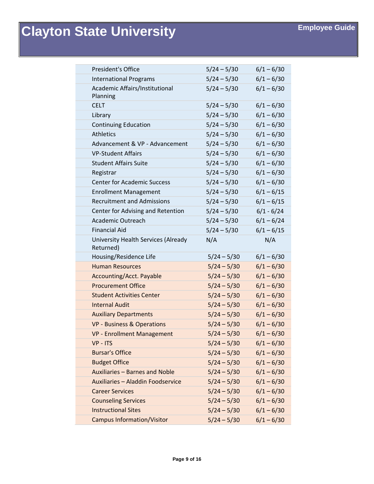| <b>President's Office</b>                               | $5/24 - 5/30$ | $6/1 - 6/30$ |
|---------------------------------------------------------|---------------|--------------|
| <b>International Programs</b>                           | $5/24 - 5/30$ | $6/1 - 6/30$ |
| Academic Affairs/Institutional<br>Planning              | $5/24 - 5/30$ | $6/1 - 6/30$ |
| <b>CELT</b>                                             | $5/24 - 5/30$ | $6/1 - 6/30$ |
| Library                                                 | $5/24 - 5/30$ | $6/1 - 6/30$ |
| <b>Continuing Education</b>                             | $5/24 - 5/30$ | $6/1 - 6/30$ |
| <b>Athletics</b>                                        | $5/24 - 5/30$ | $6/1 - 6/30$ |
| Advancement & VP - Advancement                          | $5/24 - 5/30$ | $6/1 - 6/30$ |
| <b>VP-Student Affairs</b>                               | $5/24 - 5/30$ | $6/1 - 6/30$ |
| <b>Student Affairs Suite</b>                            | $5/24 - 5/30$ | $6/1 - 6/30$ |
| Registrar                                               | $5/24 - 5/30$ | $6/1 - 6/30$ |
| <b>Center for Academic Success</b>                      | $5/24 - 5/30$ | $6/1 - 6/30$ |
| <b>Enrollment Management</b>                            | $5/24 - 5/30$ | $6/1 - 6/15$ |
| <b>Recruitment and Admissions</b>                       | $5/24 - 5/30$ | $6/1 - 6/15$ |
| Center for Advising and Retention                       | $5/24 - 5/30$ | $6/1 - 6/24$ |
| Academic Outreach                                       | $5/24 - 5/30$ | $6/1 - 6/24$ |
| <b>Financial Aid</b>                                    | $5/24 - 5/30$ | $6/1 - 6/15$ |
| <b>University Health Services (Already</b><br>Returned) | N/A           | N/A          |
| Housing/Residence Life                                  | $5/24 - 5/30$ | $6/1 - 6/30$ |
| <b>Human Resources</b>                                  | $5/24 - 5/30$ | $6/1 - 6/30$ |
| Accounting/Acct. Payable                                | $5/24 - 5/30$ | $6/1 - 6/30$ |
| <b>Procurement Office</b>                               | $5/24 - 5/30$ | $6/1 - 6/30$ |
| <b>Student Activities Center</b>                        | $5/24 - 5/30$ | $6/1 - 6/30$ |
| <b>Internal Audit</b>                                   | $5/24 - 5/30$ | $6/1 - 6/30$ |
| <b>Auxiliary Departments</b>                            | $5/24 - 5/30$ | $6/1 - 6/30$ |
| <b>VP - Business &amp; Operations</b>                   | $5/24 - 5/30$ | $6/1 - 6/30$ |
| <b>VP - Enrollment Management</b>                       | $5/24 - 5/30$ | $6/1 - 6/30$ |
| VP - ITS                                                | $5/24 - 5/30$ | $6/1 - 6/30$ |
| <b>Bursar's Office</b>                                  | $5/24 - 5/30$ | $6/1 - 6/30$ |
| <b>Budget Office</b>                                    | $5/24 - 5/30$ | $6/1 - 6/30$ |
| Auxiliaries - Barnes and Noble                          | $5/24 - 5/30$ | $6/1 - 6/30$ |
| Auxiliaries - Aladdin Foodservice                       | $5/24 - 5/30$ | $6/1 - 6/30$ |
| <b>Career Services</b>                                  | $5/24 - 5/30$ | $6/1 - 6/30$ |
| <b>Counseling Services</b>                              | $5/24 - 5/30$ | $6/1 - 6/30$ |
| <b>Instructional Sites</b>                              | $5/24 - 5/30$ | $6/1 - 6/30$ |
| <b>Campus Information/Visitor</b>                       | $5/24 - 5/30$ | $6/1 - 6/30$ |
|                                                         |               |              |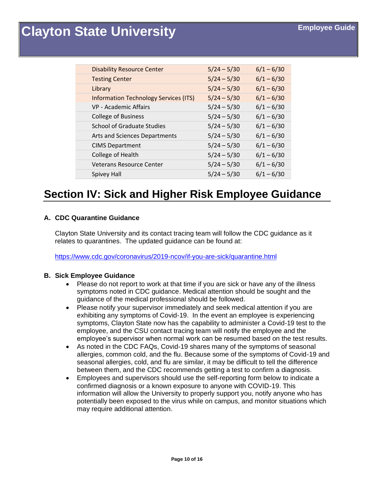| <b>Disability Resource Center</b>            | $5/24 - 5/30$ | $6/1 - 6/30$ |
|----------------------------------------------|---------------|--------------|
| <b>Testing Center</b>                        | $5/24 - 5/30$ | $6/1 - 6/30$ |
| Library                                      | $5/24 - 5/30$ | $6/1 - 6/30$ |
| <b>Information Technology Services (ITS)</b> | $5/24 - 5/30$ | $6/1 - 6/30$ |
| VP - Academic Affairs                        | $5/24 - 5/30$ | $6/1 - 6/30$ |
| <b>College of Business</b>                   | $5/24 - 5/30$ | $6/1 - 6/30$ |
| <b>School of Graduate Studies</b>            | $5/24 - 5/30$ | $6/1 - 6/30$ |
| Arts and Sciences Departments                | $5/24 - 5/30$ | $6/1 - 6/30$ |
| <b>CIMS Department</b>                       | $5/24 - 5/30$ | $6/1 - 6/30$ |
| College of Health                            | $5/24 - 5/30$ | $6/1 - 6/30$ |
| <b>Veterans Resource Center</b>              | $5/24 - 5/30$ | $6/1 - 6/30$ |
| Spivey Hall                                  | $5/24 - 5/30$ | $6/1 - 6/30$ |

### <span id="page-9-0"></span>**Section IV: Sick and Higher Risk Employee Guidance**

### <span id="page-9-1"></span>**A. CDC Quarantine Guidance**

Clayton State University and its contact tracing team will follow the CDC guidance as it relates to quarantines. The updated guidance can be found at:

<https://www.cdc.gov/coronavirus/2019-ncov/if-you-are-sick/quarantine.html>

### <span id="page-9-2"></span>**B. Sick Employee Guidance**

- Please do not report to work at that time if you are sick or have any of the illness symptoms noted in CDC guidance. Medical attention should be sought and the guidance of the medical professional should be followed.
- Please notify your supervisor immediately and seek medical attention if you are exhibiting any symptoms of Covid-19. In the event an employee is experiencing symptoms, Clayton State now has the capability to administer a Covid-19 test to the employee, and the CSU contact tracing team will notify the employee and the employee's supervisor when normal work can be resumed based on the test results.
- As noted in the CDC FAQs, Covid-19 shares many of the symptoms of seasonal allergies, common cold, and the flu. Because some of the symptoms of Covid-19 and seasonal allergies, cold, and flu are similar, it may be difficult to tell the difference between them, and the CDC recommends getting a test to confirm a diagnosis.
- Employees and supervisors should use the self-reporting form below to indicate a confirmed diagnosis or a known exposure to anyone with COVID-19. This information will allow the University to properly support you, notify anyone who has potentially been exposed to the virus while on campus, and monitor situations which may require additional attention.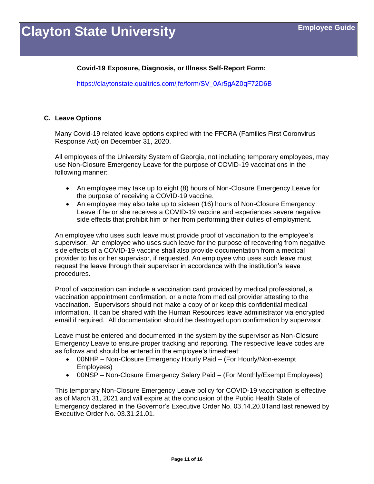### **Covid-19 Exposure, Diagnosis, or Illness Self-Report Form:**

[https://claytonstate.qualtrics.com/jfe/form/SV\\_0Ar5gAZ0qF72D6B](https://claytonstate.qualtrics.com/jfe/form/SV_0Ar5gAZ0qF72D6B)

### <span id="page-10-0"></span>**C. Leave Options**

Many Covid-19 related leave options expired with the FFCRA (Families First Coronvirus Response Act) on December 31, 2020.

All employees of the University System of Georgia, not including temporary employees, may use Non-Closure Emergency Leave for the purpose of COVID-19 vaccinations in the following manner:

- An employee may take up to eight (8) hours of Non-Closure Emergency Leave for the purpose of receiving a COVID-19 vaccine.
- An employee may also take up to sixteen (16) hours of Non-Closure Emergency Leave if he or she receives a COVID-19 vaccine and experiences severe negative side effects that prohibit him or her from performing their duties of employment.

An employee who uses such leave must provide proof of vaccination to the employee's supervisor. An employee who uses such leave for the purpose of recovering from negative side effects of a COVID-19 vaccine shall also provide documentation from a medical provider to his or her supervisor, if requested. An employee who uses such leave must request the leave through their supervisor in accordance with the institution's leave procedures.

Proof of vaccination can include a vaccination card provided by medical professional, a vaccination appointment confirmation, or a note from medical provider attesting to the vaccination. Supervisors should not make a copy of or keep this confidential medical information. It can be shared with the Human Resources leave administrator via encrypted email if required. All documentation should be destroyed upon confirmation by supervisor.

Leave must be entered and documented in the system by the supervisor as Non-Closure Emergency Leave to ensure proper tracking and reporting. The respective leave codes are as follows and should be entered in the employee's timesheet:

- 00NHP Non-Closure Emergency Hourly Paid (For Hourly/Non-exempt) Employees)
- 00NSP Non-Closure Emergency Salary Paid (For Monthly/Exempt Employees)

This temporary Non-Closure Emergency Leave policy for COVID-19 vaccination is effective as of March 31, 2021 and will expire at the conclusion of the Public Health State of Emergency declared in the Governor's Executive Order No. 03.14.20.01and last renewed by Executive Order No. 03.31.21.01.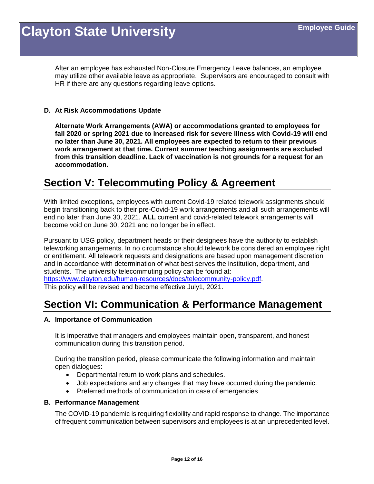After an employee has exhausted Non-Closure Emergency Leave balances, an employee may utilize other available leave as appropriate. Supervisors are encouraged to consult with HR if there are any questions regarding leave options.

### <span id="page-11-0"></span>**D. At Risk Accommodations Update**

**Alternate Work Arrangements (AWA) or accommodations granted to employees for fall 2020 or spring 2021 due to increased risk for severe illness with Covid-19 will end no later than June 30, 2021. All employees are expected to return to their previous work arrangement at that time. Current summer teaching assignments are excluded from this transition deadline. Lack of vaccination is not grounds for a request for an accommodation.**

### <span id="page-11-1"></span>**Section V: Telecommuting Policy & Agreement**

With limited exceptions, employees with current Covid-19 related telework assignments should begin transitioning back to their pre-Covid-19 work arrangements and all such arrangements will end no later than June 30, 2021. **ALL** current and covid-related telework arrangements will become void on June 30, 2021 and no longer be in effect.

Pursuant to USG policy, department heads or their designees have the authority to establish teleworking arrangements. In no circumstance should telework be considered an employee right or entitlement. All telework requests and designations are based upon management discretion and in accordance with determination of what best serves the institution, department, and students. The university telecommuting policy can be found at:

[https://www.clayton.edu/human-resources/docs/telecommunity-policy.pdf.](https://www.clayton.edu/human-resources/docs/telecommunity-policy.pdf) This policy will be revised and become effective July1, 2021.

### <span id="page-11-2"></span>**Section VI: Communication & Performance Management**

### <span id="page-11-3"></span>**A. Importance of Communication**

It is imperative that managers and employees maintain open, transparent, and honest communication during this transition period.

During the transition period, please communicate the following information and maintain open dialogues:

- Departmental return to work plans and schedules.
- Job expectations and any changes that may have occurred during the pandemic.
- Preferred methods of communication in case of emergencies

### <span id="page-11-4"></span>**B. Performance Management**

The COVID-19 pandemic is requiring flexibility and rapid response to change. The importance of frequent communication between supervisors and employees is at an unprecedented level.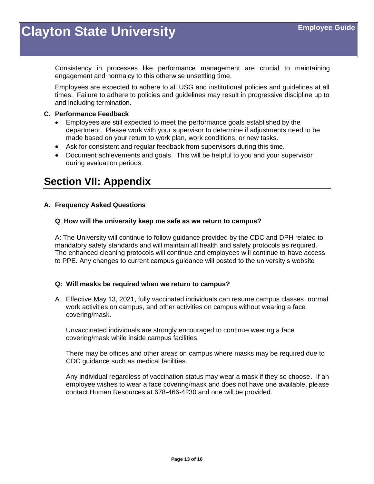Consistency in processes like performance management are crucial to maintaining engagement and normalcy to this otherwise unsettling time.

Employees are expected to adhere to all USG and institutional policies and guidelines at all times. Failure to adhere to policies and guidelines may result in progressive discipline up to and including termination.

### <span id="page-12-0"></span>**C. Performance Feedback**

- Employees are still expected to meet the performance goals established by the department. Please work with your supervisor to determine if adjustments need to be made based on your return to work plan, work conditions, or new tasks.
- Ask for consistent and regular feedback from supervisors during this time.
- Document achievements and goals. This will be helpful to you and your supervisor during evaluation periods.

### <span id="page-12-1"></span>**Section VII: Appendix**

### <span id="page-12-2"></span>**A. Frequency Asked Questions**

### **Q**: **How will the university keep me safe as we return to campus?**

A: The University will continue to follow guidance provided by the CDC and DPH related to mandatory safety standards and will maintain all health and safety protocols as required. The enhanced cleaning protocols will continue and employees will continue to have access to PPE. Any changes to current campus guidance will posted to the university's website

### **Q: Will masks be required when we return to campus?**

A. Effective May 13, 2021, fully vaccinated individuals can resume campus classes, normal work activities on campus, and other activities on campus without wearing a face covering/mask.

Unvaccinated individuals are strongly encouraged to continue wearing a face covering/mask while inside campus facilities.

There may be offices and other areas on campus where masks may be required due to CDC guidance such as medical facilities.

Any individual regardless of vaccination status may wear a mask if they so choose. If an employee wishes to wear a face covering/mask and does not have one available, please contact Human Resources at 678-466-4230 and one will be provided.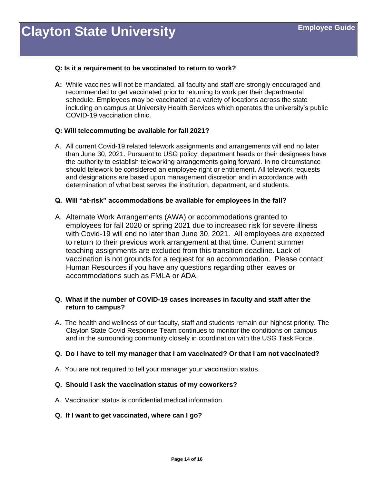### **Q: Is it a requirement to be vaccinated to return to work?**

**A:** While vaccines will not be mandated, all faculty and staff are strongly encouraged and recommended to get vaccinated prior to returning to work per their departmental schedule. Employees may be vaccinated at a variety of locations across the state including on campus at University Health Services which operates the university's public COVID-19 vaccination clinic.

#### **Q: Will telecommuting be available for fall 2021?**

A. All current Covid-19 related telework assignments and arrangements will end no later than June 30, 2021. Pursuant to USG policy, department heads or their designees have the authority to establish teleworking arrangements going forward. In no circumstance should telework be considered an employee right or entitlement. All telework requests and designations are based upon management discretion and in accordance with determination of what best serves the institution, department, and students.

#### **Q. Will "at-risk" accommodations be available for employees in the fall?**

A. Alternate Work Arrangements (AWA) or accommodations granted to employees for fall 2020 or spring 2021 due to increased risk for severe illness with Covid-19 will end no later than June 30, 2021. All employees are expected to return to their previous work arrangement at that time. Current summer teaching assignments are excluded from this transition deadline. Lack of vaccination is not grounds for a request for an accommodation. Please contact Human Resources if you have any questions regarding other leaves or accommodations such as FMLA or ADA.

### **Q. What if the number of COVID-19 cases increases in faculty and staff after the return to campus?**

A. The health and wellness of our faculty, staff and students remain our highest priority. The Clayton State Covid Response Team continues to monitor the conditions on campus and in the surrounding community closely in coordination with the USG Task Force.

### **Q. Do I have to tell my manager that I am vaccinated? Or that I am not vaccinated?**

A. You are not required to tell your manager your vaccination status.

### **Q. Should I ask the vaccination status of my coworkers?**

A. Vaccination status is confidential medical information.

### **Q. If I want to get vaccinated, where can I go?**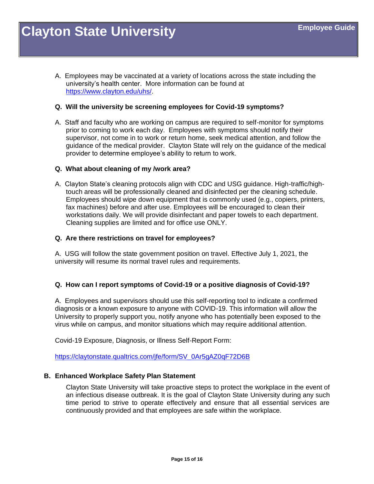A. Employees may be vaccinated at a variety of locations across the state including the university's health center. More information can be found at [https://www.clayton.edu/uhs/.](https://www.clayton.edu/uhs/)

#### **Q. Will the university be screening employees for Covid-19 symptoms?**

A. Staff and faculty who are working on campus are required to self-monitor for symptoms prior to coming to work each day. Employees with symptoms should notify their supervisor, not come in to work or return home, seek medical attention, and follow the guidance of the medical provider. Clayton State will rely on the guidance of the medical provider to determine employee's ability to return to work.

#### **Q. What about cleaning of my /work area?**

A. Clayton State's cleaning protocols align with CDC and USG guidance. High-traffic/hightouch areas will be professionally cleaned and disinfected per the cleaning schedule. Employees should wipe down equipment that is commonly used (e.g., copiers, printers, fax machines) before and after use. Employees will be encouraged to clean their workstations daily. We will provide disinfectant and paper towels to each department. Cleaning supplies are limited and for office use ONLY.

#### **Q. Are there restrictions on travel for employees?**

A. USG will follow the state government position on travel. Effective July 1, 2021, the university will resume its normal travel rules and requirements.

### **Q. How can I report symptoms of Covid-19 or a positive diagnosis of Covid-19?**

A. Employees and supervisors should use this self-reporting tool to indicate a confirmed diagnosis or a known exposure to anyone with COVID-19. This information will allow the University to properly support you, notify anyone who has potentially been exposed to the virus while on campus, and monitor situations which may require additional attention.

Covid-19 Exposure, Diagnosis, or Illness Self-Report Form:

[https://claytonstate.qualtrics.com/jfe/form/SV\\_0Ar5gAZ0qF72D6B](https://claytonstate.qualtrics.com/jfe/form/SV_0Ar5gAZ0qF72D6B)

#### <span id="page-14-0"></span>**B. Enhanced Workplace Safety Plan Statement**

Clayton State University will take proactive steps to protect the workplace in the event of an infectious disease outbreak. It is the goal of Clayton State University during any such time period to strive to operate effectively and ensure that all essential services are continuously provided and that employees are safe within the workplace.